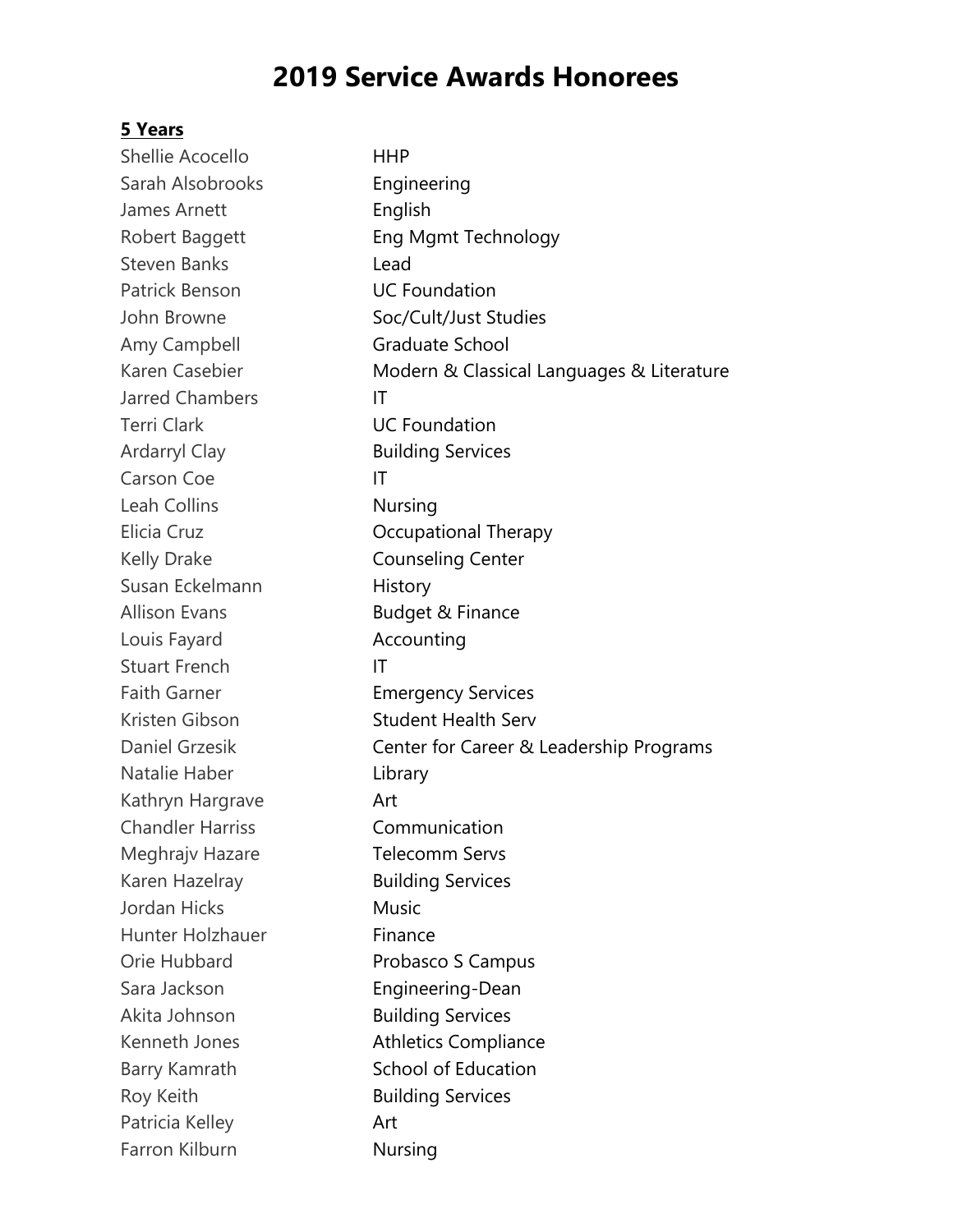# **2019 Service Awards Honorees**

#### **5 Years**

Shellie Acocello HHP Sarah Alsobrooks **Engineering** James Arnett **English** Robert Baggett **Eng Mgmt Technology** Steven Banks **Lead** Patrick Benson **UC Foundation** John Browne Soc/Cult/Just Studies Amy Campbell Graduate School Karen Casebier Modern & Classical Languages & Literature Jarred Chambers IT Terri Clark **Carri Clark** UC Foundation Ardarryl Clay Building Services Carson Coe IT Leah Collins Nursing Elicia Cruz **Crupational Therapy** Kelly Drake **Counseling Center** Susan Eckelmann History Allison Evans **Budget & Finance** Louis Fayard **Accounting** Stuart French IT Faith Garner **Emergency Services** Kristen Gibson Student Health Serv Daniel Grzesik Center for Career & Leadership Programs Natalie Haber Library Kathryn Hargrave **Art** Chandler Harriss Communication Meghrajv Hazare **Telecomm Servs** Karen Hazelray **Building Services** Jordan Hicks Music Hunter Holzhauer Finance Orie Hubbard **Probasco S Campus** Sara Jackson **Engineering-Dean** Akita Johnson **Building Services** Kenneth Jones Athletics Compliance Barry Kamrath School of Education Roy Keith **Building Services** Patricia Kelley **Art** Farron Kilburn Nursing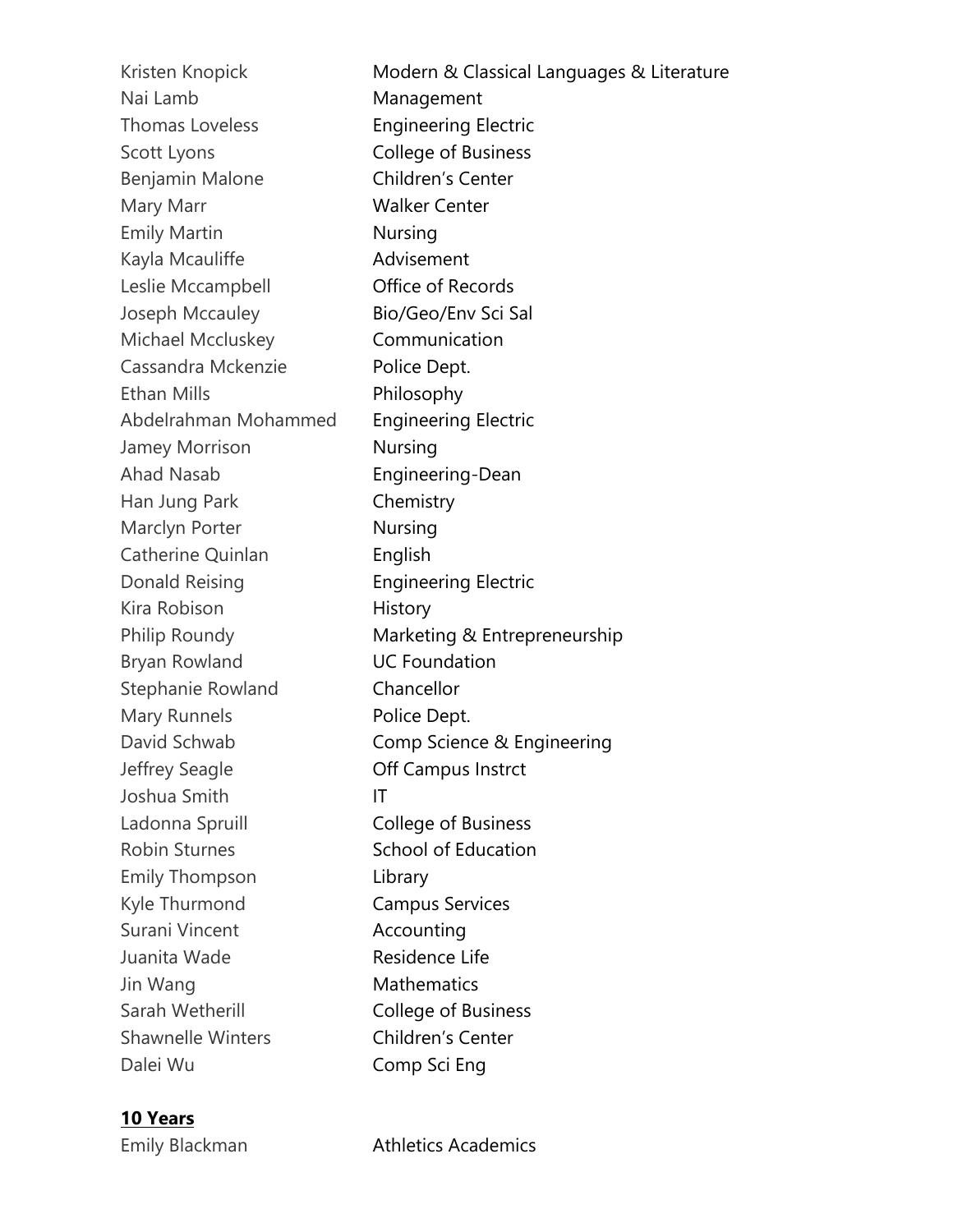Kristen Knopick Modern & Classical Languages & Literature Nai Lamb Management Thomas Loveless **Engineering Electric** Scott Lyons **College of Business** Benjamin Malone Children's Center Mary Marr Walker Center Emily Martin Nursing Kayla Mcauliffe **Advisement** Leslie Mccampbell **Contact Office of Records** Joseph Mccauley Bio/Geo/Env Sci Sal Michael Mccluskey Communication Cassandra Mckenzie Police Dept. Ethan Mills Philosophy Abdelrahman Mohammed Engineering Electric Jamey Morrison Nursing Ahad Nasab Engineering-Dean Han Jung Park Chemistry Marclyn Porter **Nursing** Catherine Quinlan **English** Donald Reising **Engineering Electric** Kira Robison **History** Philip Roundy **Marketing & Entrepreneurship** Bryan Rowland **UC Foundation** Stephanie Rowland Chancellor Mary Runnels **Police Dept.** David Schwab **Comp Science & Engineering** Jeffrey Seagle Off Campus Instrct Joshua Smith IT Ladonna Spruill **College of Business** Robin Sturnes School of Education Emily Thompson Library Kyle Thurmond Campus Services Surani Vincent **Accounting** Juanita Wade Residence Life Jin Wang **Mathematics** Sarah Wetherill **College of Business** Shawnelle Winters **Children's Center** Dalei Wu Comp Sci Eng

#### **10 Years**

Emily Blackman **Athletics Academics**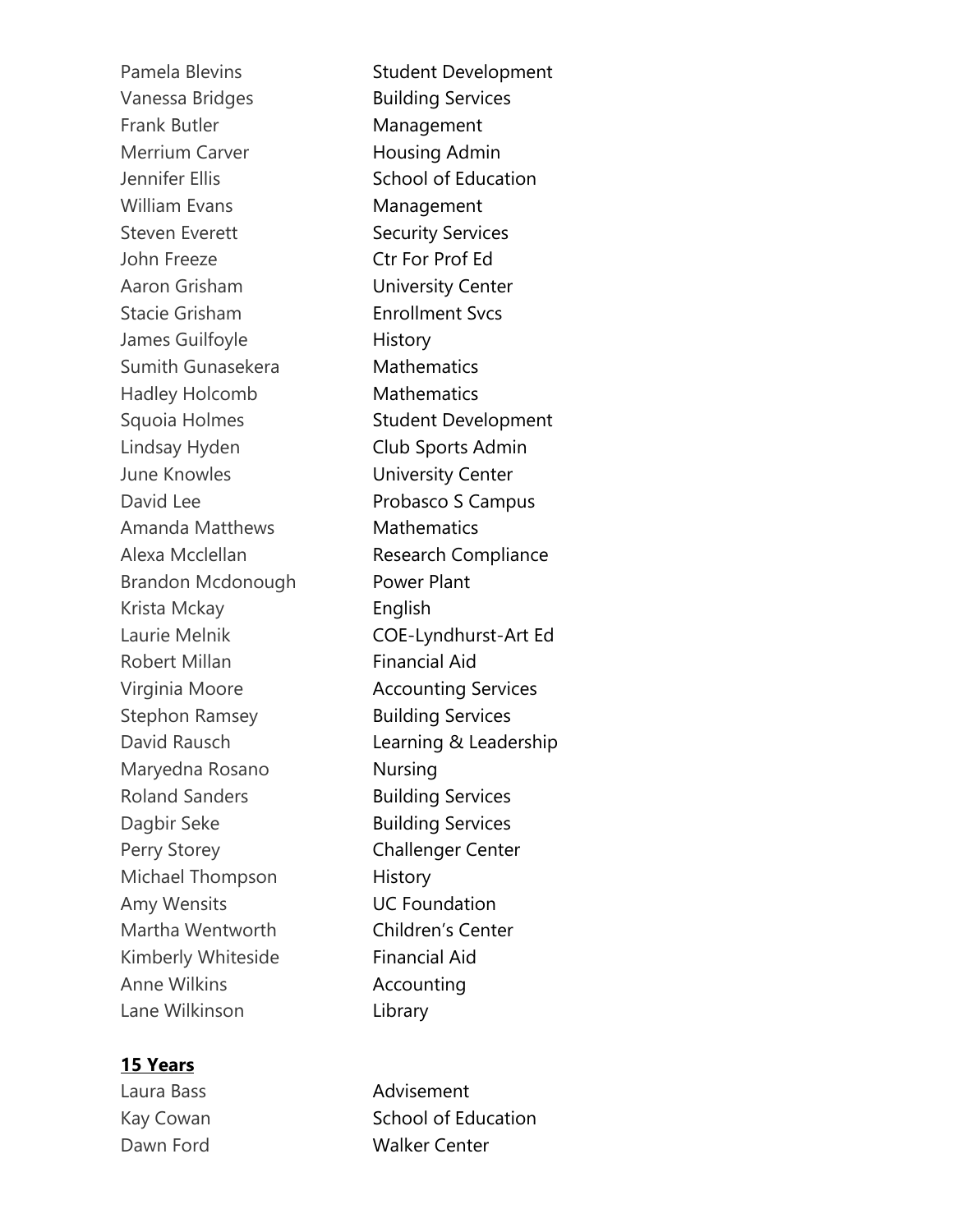Pamela Blevins Student Development Vanessa Bridges Building Services Frank Butler Management Merrium Carver **Housing Admin** Jennifer Ellis School of Education William Evans Management Steven Everett Security Services John Freeze Ctr For Prof Ed Aaron Grisham University Center Stacie Grisham **Enrollment Svcs** James Guilfoyle **History** Sumith Gunasekera **Mathematics** Hadley Holcomb Mathematics Squoia Holmes Student Development Lindsay Hyden Club Sports Admin June Knowles **University Center** David Lee **Probasco S Campus** Amanda Matthews **Mathematics** Alexa Mcclellan **Research Compliance** Brandon Mcdonough Power Plant Krista Mckay English Laurie Melnik COE-Lyndhurst-Art Ed Robert Millan **Financial Aid** Virginia Moore **Accounting Services** Stephon Ramsey **Building Services** David Rausch **Learning & Leadership** Maryedna Rosano **Nursing** Roland Sanders **Building Services** Dagbir Seke Building Services Perry Storey **Challenger Center** Michael Thompson History Amy Wensits UC Foundation Martha Wentworth Children's Center Kimberly Whiteside Financial Aid Anne Wilkins **Accounting** Lane Wilkinson Library

### **15 Years**

Laura Bass **Advisement** Kay Cowan School of Education Dawn Ford Walker Center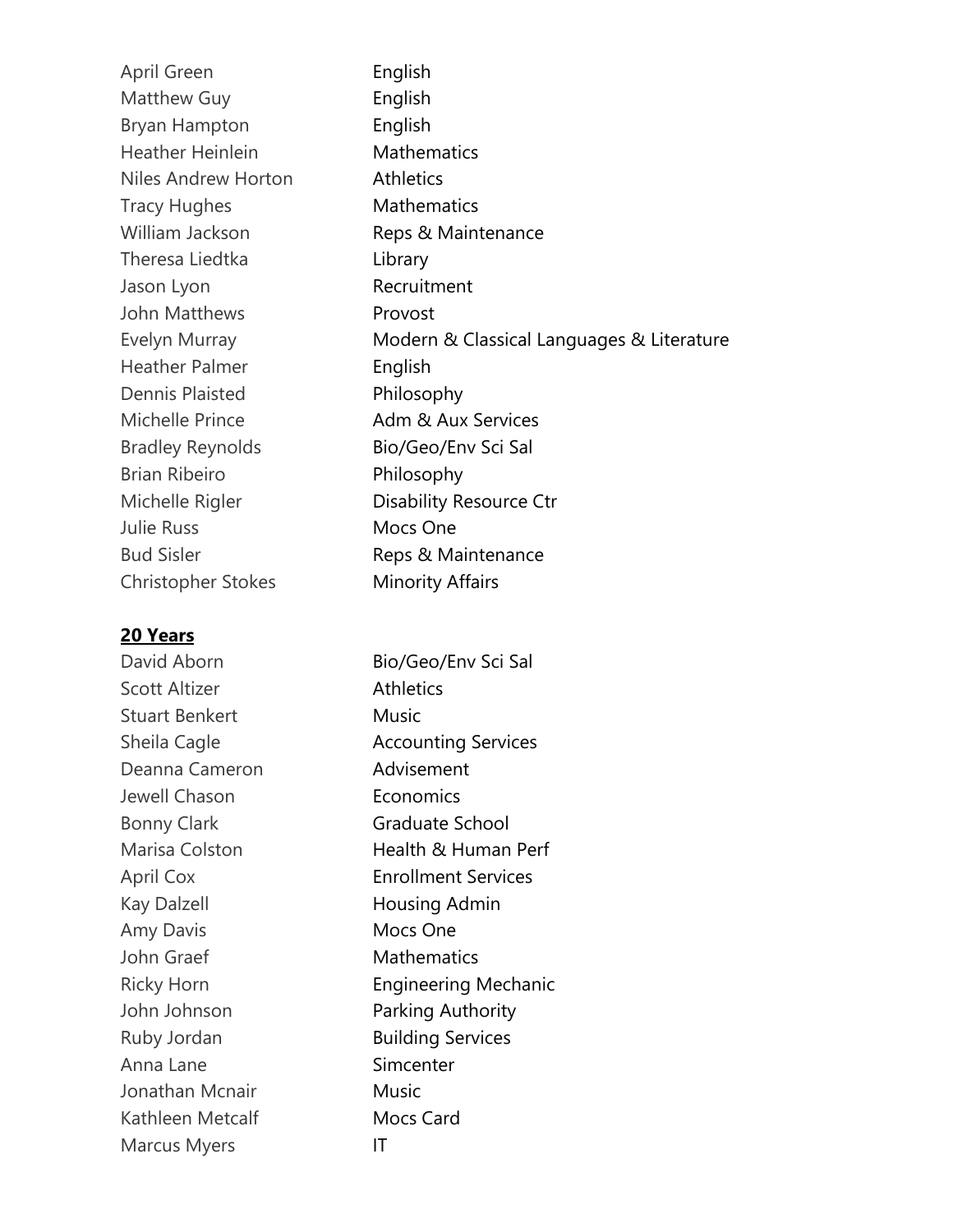| April Green               | English                                   |
|---------------------------|-------------------------------------------|
| Matthew Guy               | English                                   |
| <b>Bryan Hampton</b>      | English                                   |
| <b>Heather Heinlein</b>   | <b>Mathematics</b>                        |
| Niles Andrew Horton       | <b>Athletics</b>                          |
| <b>Tracy Hughes</b>       | <b>Mathematics</b>                        |
| William Jackson           | Reps & Maintenance                        |
| Theresa Liedtka           | Library                                   |
| Jason Lyon                | Recruitment                               |
| John Matthews             | Provost                                   |
| Evelyn Murray             | Modern & Classical Languages & Literature |
| <b>Heather Palmer</b>     | English                                   |
| Dennis Plaisted           | Philosophy                                |
| Michelle Prince           | Adm & Aux Services                        |
| <b>Bradley Reynolds</b>   | Bio/Geo/Env Sci Sal                       |
| <b>Brian Ribeiro</b>      | Philosophy                                |
| Michelle Rigler           | Disability Resource Ctr                   |
| <b>Julie Russ</b>         | Mocs One                                  |
| <b>Bud Sisler</b>         | Reps & Maintenance                        |
| <b>Christopher Stokes</b> | <b>Minority Affairs</b>                   |

## **20 Years**

David Aborn Bio/Geo/Env Sci Sal Scott Altizer **Athletics** Stuart Benkert Music Sheila Cagle **Accounting Services** Deanna Cameron **Advisement** Jewell Chason **Economics** Bonny Clark Graduate School Marisa Colston **Health & Human Perf** April Cox Enrollment Services Kay Dalzell **Housing Admin** Amy Davis Mocs One John Graef Mathematics Ricky Horn **Engineering Mechanic** John Johnson **Parking Authority** Ruby Jordan Building Services Anna Lane Simcenter Jonathan Mcnair **Music** Kathleen Metcalf Mocs Card Marcus Myers **IT**